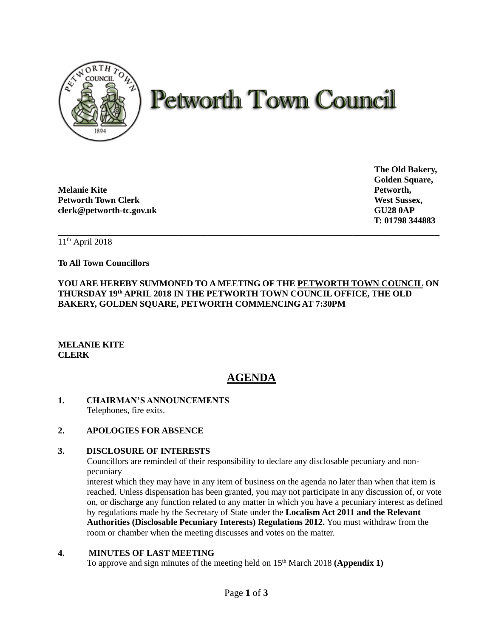

# **Petworth Town Council**

**Melanie Kite Petworth, Petworth Town Clerk West Sussex, West Sussex, West Sussex, West Sussex, West Sussex, West Sussex, West Sussex, West Sussex, West Sussex, West Sussex, West Sussex, West Sussex, West Sussex, West Sussex, West Sussex, West S clerk@petworth-tc.gov.uk GU28 0AP**

**The Old Bakery, Golden Square, T: 01798 344883**

11th April 2018

**To All Town Councillors**

**YOU ARE HEREBY SUMMONED TO A MEETING OF THE PETWORTH TOWN COUNCIL ON THURSDAY 19th APRIL 2018 IN THE PETWORTH TOWN COUNCIL OFFICE, THE OLD BAKERY, GOLDEN SQUARE, PETWORTH COMMENCING AT 7:30PM**

**\_\_\_\_\_\_\_\_\_\_\_\_\_\_\_\_\_\_\_\_\_\_\_\_\_\_\_\_\_\_\_\_\_\_\_\_\_\_\_\_\_\_\_\_\_\_\_\_\_\_\_\_\_\_\_\_\_\_\_\_\_\_\_\_\_\_\_\_\_\_\_\_\_\_\_\_\_\_\_**

# **MELANIE KITE CLERK**

# **AGENDA**

# **1. CHAIRMAN'S ANNOUNCEMENTS** Telephones, fire exits.

# **2. APOLOGIES FOR ABSENCE**

## **3. DISCLOSURE OF INTERESTS**

Councillors are reminded of their responsibility to declare any disclosable pecuniary and nonpecuniary

interest which they may have in any item of business on the agenda no later than when that item is reached. Unless dispensation has been granted, you may not participate in any discussion of, or vote on, or discharge any function related to any matter in which you have a pecuniary interest as defined by regulations made by the Secretary of State under the **Localism Act 2011 and the Relevant Authorities (Disclosable Pecuniary Interests) Regulations 2012.** You must withdraw from the room or chamber when the meeting discusses and votes on the matter.

## **4. MINUTES OF LAST MEETING**

To approve and sign minutes of the meeting held on 15<sup>th</sup> March 2018 **(Appendix 1)**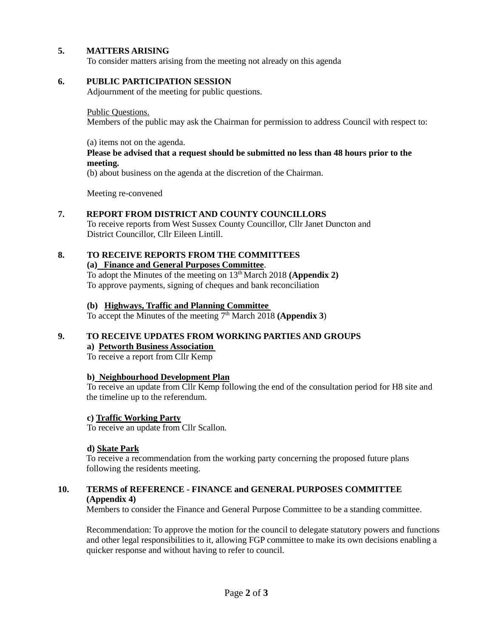# **5. MATTERS ARISING**

To consider matters arising from the meeting not already on this agenda

# **6. PUBLIC PARTICIPATION SESSION**

Adjournment of the meeting for public questions.

#### Public Questions.

Members of the public may ask the Chairman for permission to address Council with respect to:

#### (a) items not on the agenda.

## **Please be advised that a request should be submitted no less than 48 hours prior to the meeting.**

(b) about business on the agenda at the discretion of the Chairman.

Meeting re-convened

## **7. REPORT FROM DISTRICT AND COUNTY COUNCILLORS**

To receive reports from West Sussex County Councillor, Cllr Janet Duncton and District Councillor, Cllr Eileen Lintill.

# **8. TO RECEIVE REPORTS FROM THE COMMITTEES**

**(a) Finance and General Purposes Committee**.

To adopt the Minutes of the meeting on 13th March 2018 **(Appendix 2)** To approve payments, signing of cheques and bank reconciliation

## **(b) Highways, Traffic and Planning Committee**

To accept the Minutes of the meeting  $7<sup>th</sup>$  March 2018 **(Appendix 3)** 

#### **9. TO RECEIVE UPDATES FROM WORKING PARTIES AND GROUPS a) Petworth Business Association**

To receive a report from Cllr Kemp

## **b) Neighbourhood Development Plan**

To receive an update from Cllr Kemp following the end of the consultation period for H8 site and the timeline up to the referendum.

## **c) Traffic Working Party**

To receive an update from Cllr Scallon.

## **d) Skate Park**

To receive a recommendation from the working party concerning the proposed future plans following the residents meeting.

## **10. TERMS of REFERENCE - FINANCE and GENERAL PURPOSES COMMITTEE (Appendix 4)**

Members to consider the Finance and General Purpose Committee to be a standing committee.

Recommendation: To approve the motion for the council to delegate statutory powers and functions and other legal responsibilities to it, allowing FGP committee to make its own decisions enabling a quicker response and without having to refer to council.